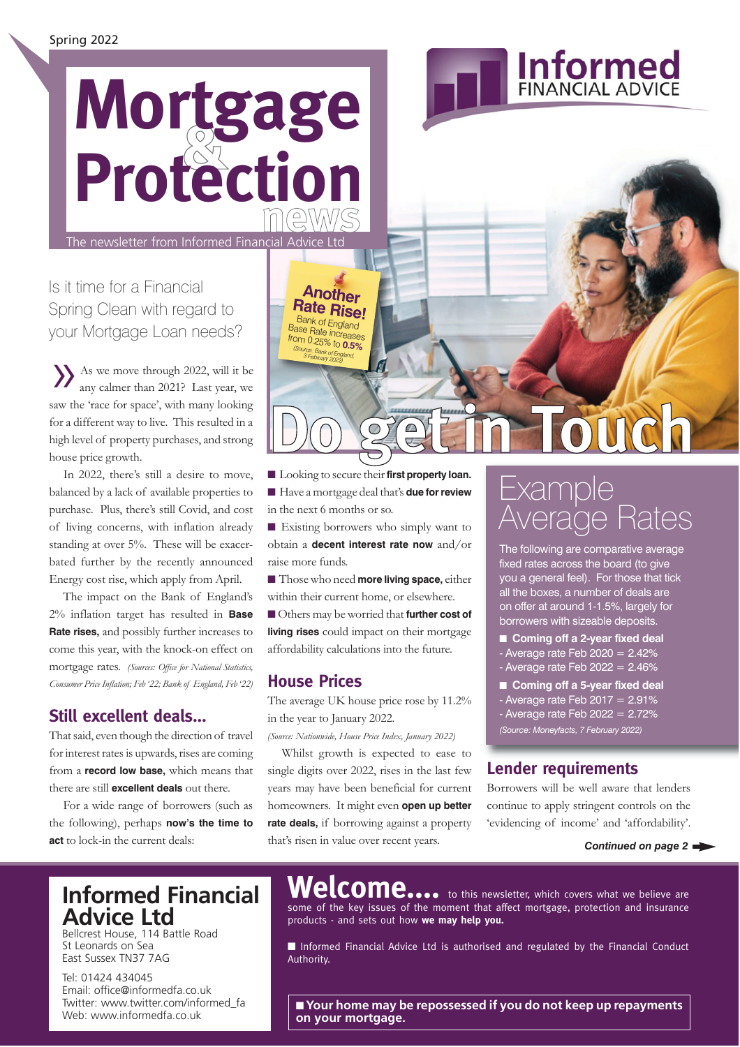## **news & Mortgage Protection**

The newsletter from Informed Financial Advice Ltd

Is it time for a Financial Spring Clean with regard to your Mortgage Loan needs?

As we move through 2022, will it be any calmer than 2021? Last year, we saw the 'race for space', with many looking for a different way to live. This resulted in a high level of property purchases, and strong house price growth.

In 2022, there's still a desire to move, balanced by a lack of available properties to purchase. Plus, there's still Covid, and cost of living concerns, with inflation already standing at over 5%. These will be exacerbated further by the recently announced Energy cost rise, which apply from April.

The impact on the Bank of England's 2% inflation target has resulted in **Base Rate rises,** and possibly further increases to come this year, with the knock-on effect on mortgage rates. *(Sources: Office for National Statistics, Consumer Price Inflation; Feb '22; Bank of England, Feb '22)*

#### **Still excellent deals...**

That said, even though the direction of travel for interest rates is upwards, rises are coming from a **record low base,** which means that there are still **excellent deals** out there.

For a wide range of borrowers (such as the following), perhaps **now's the time to act** to lock-in the current deals:

# **Do get in Touch**

■ Looking to secure their **first property loan.** ■ Have a mortgage deal that's **due for review** in the next 6 months or so.

**Another Rate Rise!** Bank of England Base Rate increases  $f$ <sup>from 0.25%</sup> to *(Source: Bank of England,*  **0.5%** *3 February 2022)*

■ Existing borrowers who simply want to obtain a **decent interest rate now** and/or raise more funds.

■ Those who need **more living space**, either within their current home, or elsewhere.

■ Others may be worried that **further cost of living rises** could impact on their mortgage affordability calculations into the future.

#### **House Prices**

The average UK house price rose by 11.2% in the year to January 2022.

*(Source: Nationwide, House Price Index, January 2022)*

Whilst growth is expected to ease to single digits over 2022, rises in the last few years may have been beneficial for current homeowners. It might even **open up better rate deals,** if borrowing against a property that's risen in value over recent years.

## Example Average Rates

**Informed** 

The following are comparative average fixed rates across the board (to give you a general feel). For those that tick all the boxes, a number of deals are on offer at around 1-1.5%, largely for borrowers with sizeable deposits.

- **Coming off a 2-year fixed deal**
- Average rate Feb  $2020 = 2.42\%$
- Average rate Feb  $2022 = 2.46%$
- **Coming off a 5-year fixed deal**  $-$  Average rate Feb 2017 = 2.91% - Average rate Feb  $2022 = 2.72%$
- *(Source: Moneyfacts, 7 February 2022)*

#### **Lender requirements**

Borrowers will be well aware that lenders continue to apply stringent controls on the 'evidencing of income' and 'affordability'.

#### *Continued on page 2*

### **Informed Financial Advice Ltd**

Bellcrest House, 114 Battle Road St Leonards on Sea East Sussex TN37 7AG

Tel: 01424 434045 Email: office@informedfa.co.uk Twitter: www.twitter.com/informed\_fa Web: www.informedfa.co.uk

Welcome.... to this newsletter, which covers what we believe are some of the key issues of the moment that affect mortgage, protection and insurance products - and sets out how **we may help you.** 

■ Informed Financial Advice Ltd is authorised and regulated by the Financial Conduct Authority.

■ **Your home may be repossessed if you do not keep up repayments on your mortgage.**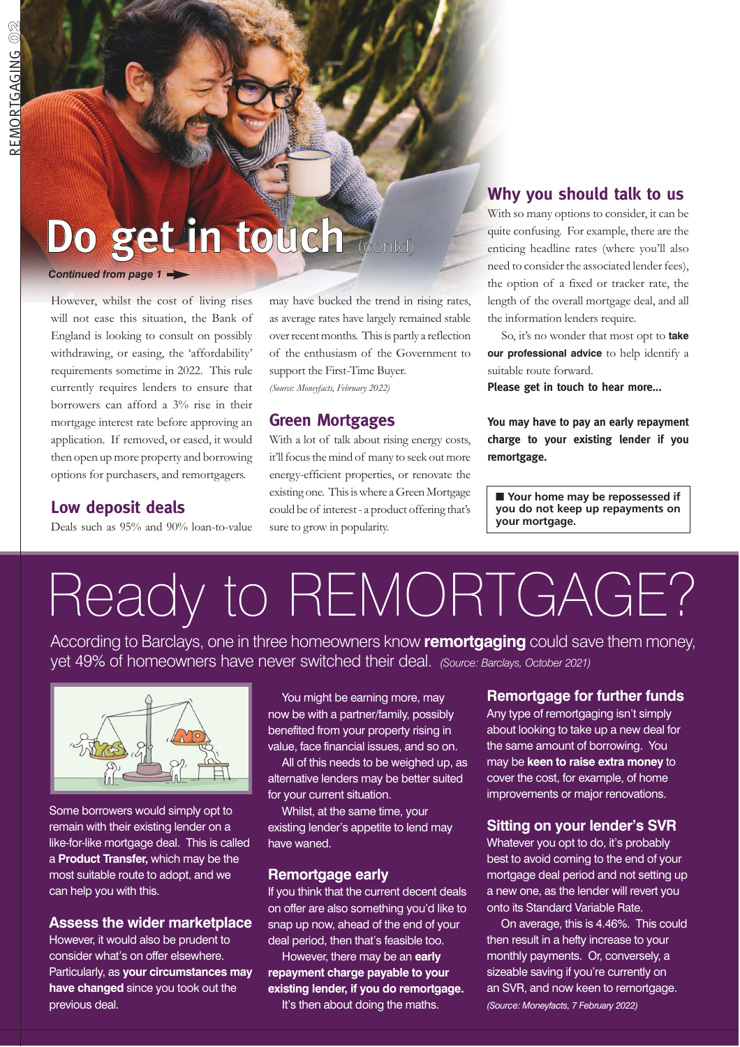## **Do get in touch** (contd)

#### *Continued from page 1*

However, whilst the cost of living rises will not ease this situation, the Bank of England is looking to consult on possibly withdrawing, or easing, the 'affordability' requirements sometime in 2022. This rule currently requires lenders to ensure that borrowers can afford a 3% rise in their mortgage interest rate before approving an application. If removed, or eased, it would then open up more property and borrowing options for purchasers, and remortgagers.

may have bucked the trend in rising rates, as average rates have largely remained stable over recent months. This is partly a reflection of the enthusiasm of the Government to support the First-Time Buyer. *(Source: Moneyfacts, February 2022)*

#### **Green Mortgages**

With a lot of talk about rising energy costs, it'll focus the mind of many to seek out more energy-efficient properties, or renovate the existing one. This is where a Green Mortgage could be of interest - a product offering that's sure to grow in popularity.

#### **Why you should talk to us**

With so many options to consider, it can be quite confusing. For example, there are the enticing headline rates (where you'll also need to consider the associated lender fees), the option of a fixed or tracker rate, the length of the overall mortgage deal, and all the information lenders require.

So, it's no wonder that most opt to **take our professional advice** to help identify a suitable route forward.

**Please get in touch to hear more...**

**You may have to pay an early repayment charge to your existing lender if you remortgage.**

■ **Your home may be repossessed if you do not keep up repayments on your mortgage.**

#### **Low deposit deals**

Deals such as 95% and 90% loan-to-value

# Ready to REMORTGAGE?

According to Barclays, one in three homeowners know **remortgaging** could save them money, yet 49% of homeowners have never switched their deal. *(Source: Barclays, October 2021)*



Some borrowers would simply opt to remain with their existing lender on a like-for-like mortgage deal. This is called a **Product Transfer,** which may be the most suitable route to adopt, and we can help you with this.

#### **Assess the wider marketplace**

However, it would also be prudent to consider what's on offer elsewhere. Particularly, as **your circumstances may have changed** since you took out the previous deal.

You might be earning more, may now be with a partner/family, possibly benefited from your property rising in value, face financial issues, and so on.

All of this needs to be weighed up, as alternative lenders may be better suited for your current situation.

Whilst, at the same time, your existing lender's appetite to lend may have waned.

#### **Remortgage early**

If you think that the current decent deals on offer are also something you'd like to snap up now, ahead of the end of your deal period, then that's feasible too.

However, there may be an **early repayment charge payable to your existing lender, if you do remortgage.** It's then about doing the maths.

#### **Remortgage for further funds**

Any type of remortgaging isn't simply about looking to take up a new deal for the same amount of borrowing. You may be **keen to raise extra money** to cover the cost, for example, of home improvements or major renovations.

#### **Sitting on your lender's SVR**

Whatever you opt to do, it's probably best to avoid coming to the end of your mortgage deal period and not setting up a new one, as the lender will revert you onto its Standard Variable Rate.

On average, this is 4.46%. This could then result in a hefty increase to your monthly payments. Or, conversely, a sizeable saving if you're currently on an SVR, and now keen to remortgage. *(Source: Moneyfacts, 7 February 2022)*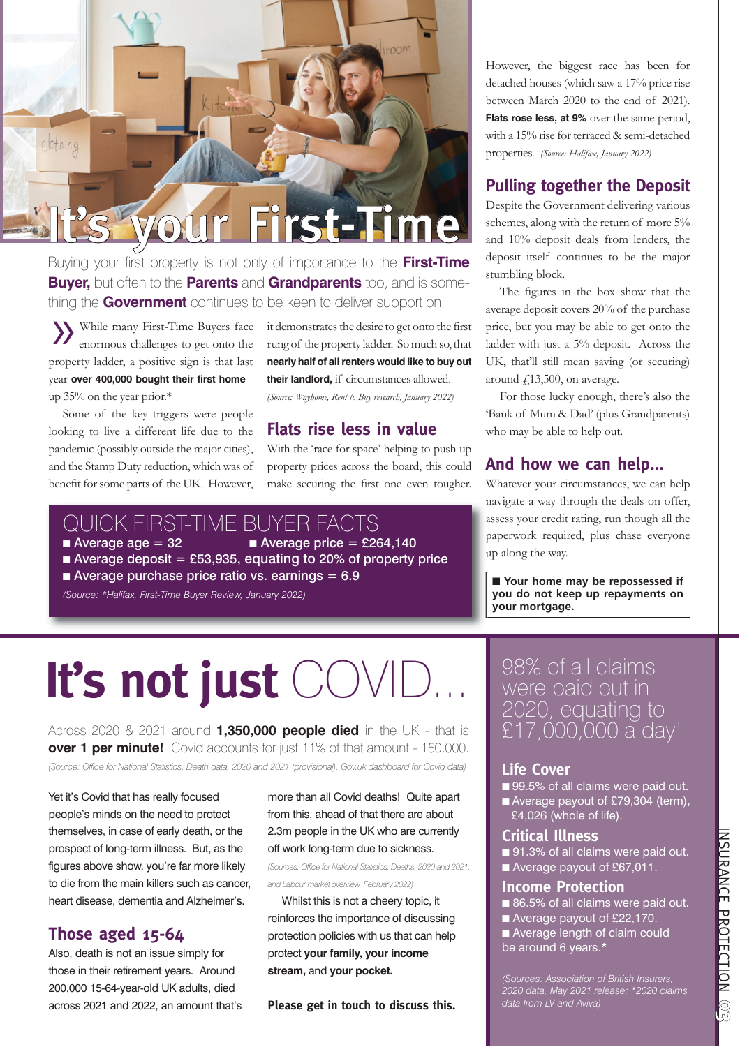

Buying your first property is not only of importance to the **First-Time Buyer,** but often to the **Parents** and **Grandparents** too, and is something the **Government** continues to be keen to deliver support on.

»While many First-Time Buyers face enormous challenges to get onto the property ladder, a positive sign is that last year **over 400,000 bought their first home** up 35% on the year prior.\*

Some of the key triggers were people looking to live a different life due to the pandemic (possibly outside the major cities), and the Stamp Duty reduction, which was of benefit for some parts of the UK. However,

it demonstrates the desire to get onto the first rung of the property ladder. So much so, that **nearly half of all renters would like to buy out their landlord,** if circumstances allowed. *(Source: Wayhome, Rent to Buy research, January 2022)*

#### **Flats rise less in value**

With the 'race for space' helping to push up property prices across the board, this could make securing the first one even tougher.

#### QUICK FIRST-TIME BUYER FACTS

Average age =  $32$  **Average price = £264,140** Average deposit = £53,935, equating to 20% of property price  $\blacksquare$  Average purchase price ratio vs. earnings = 6.9

*(Source: \*Halifax, First-Time Buyer Review, January 2022)*

## **It's not just** COVID...

Across 2020 & 2021 around **1,350,000 people died** in the UK - that is **over 1 per minute!** Covid accounts for just 11% of that amount - 150,000. *(Source: Office for National Statistics, Death data, 2020 and 2021 (provisional), Gov.uk dashboard for Covid data)*

Yet it's Covid that has really focused people's minds on the need to protect themselves, in case of early death, or the prospect of long-term illness. But, as the figures above show, you're far more likely to die from the main killers such as cancer, heart disease, dementia and Alzheimer's.

#### **Those aged 15-64**

Also, death is not an issue simply for those in their retirement years. Around 200,000 15-64-year-old UK adults, died across 2021 and 2022, an amount that's more than all Covid deaths! Quite apart from this, ahead of that there are about 2.3m people in the UK who are currently off work long-term due to sickness. *(Sources: Office for National Statistics, Deaths, 2020 and 2021,*

*and Labour market overview, February 2022)*

Whilst this is not a cheery topic, it reinforces the importance of discussing protection policies with us that can help protect **your family, your income stream,** and **your pocket.**

**Please get in touch to discuss this.**

However, the biggest race has been for detached houses (which saw a 17% price rise between March 2020 to the end of 2021). **Flats rose less, at 9%** over the same period, with a 15% rise for terraced & semi-detached properties. *(Source: Halifax, January 2022)*

#### **Pulling together the Deposit**

Despite the Government delivering various schemes, along with the return of more 5% and 10% deposit deals from lenders, the deposit itself continues to be the major stumbling block.

The figures in the box show that the average deposit covers 20% of the purchase price, but you may be able to get onto the ladder with just a 5% deposit. Across the UK, that'll still mean saving (or securing) around  $£13,500$ , on average.

For those lucky enough, there's also the 'Bank of Mum & Dad' (plus Grandparents) who may be able to help out.

#### **And how we can help...**

Whatever your circumstances, we can help navigate a way through the deals on offer, assess your credit rating, run though all the paperwork required, plus chase everyone up along the way.

■ **Your home may be repossessed if you do not keep up repayments on your mortgage.**

98% of all claims were paid out in 2020, equating to £17,000,000 a day!

#### **Life Cover**

- 99.5% of all claims were paid out.
- Average payout of £79,304 (term),  $\overline{24,026}$  (whole of life).

#### **Critical Illness**

- 91.3% of all claims were paid out.
- Average payout of £67,011.

#### **Income Protection**

- 86.5% of all claims were paid out.
- Average payout of £22,170.
- Average length of claim could be around 6 years.\*

*(Sources: Association of British Insurers, 2020 data, May 2021 release; \*2020 claims data from LV and Aviva)*